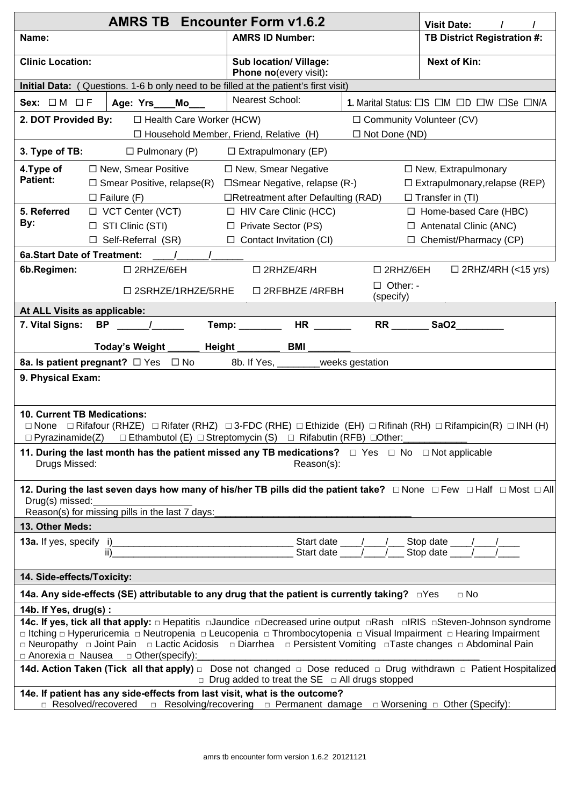|                                                                                                                                                                                 | <b>Visit Date:</b>                                                                                                                                      |                                                  |                                  |                              |  |  |  |  |  |
|---------------------------------------------------------------------------------------------------------------------------------------------------------------------------------|---------------------------------------------------------------------------------------------------------------------------------------------------------|--------------------------------------------------|----------------------------------|------------------------------|--|--|--|--|--|
| Name:                                                                                                                                                                           |                                                                                                                                                         | <b>AMRS ID Number:</b>                           |                                  | TB District Registration #:  |  |  |  |  |  |
| <b>Clinic Location:</b>                                                                                                                                                         |                                                                                                                                                         | Sub location/ Village:<br>Phone no(every visit): |                                  | <b>Next of Kin:</b>          |  |  |  |  |  |
| Initial Data: (Questions. 1-6 b only need to be filled at the patient's first visit)                                                                                            |                                                                                                                                                         |                                                  |                                  |                              |  |  |  |  |  |
| Nearest School:<br>Sex: $\Box M \Box F$<br>1. Marital Status: $\Box S$ $\Box M$ $\Box D$ $\Box W$ $\Box Se$ $\Box N/A$<br>Age: Yrs___Mo___                                      |                                                                                                                                                         |                                                  |                                  |                              |  |  |  |  |  |
| 2. DOT Provided By:                                                                                                                                                             | □ Health Care Worker (HCW)                                                                                                                              | □ Community Volunteer (CV)                       |                                  |                              |  |  |  |  |  |
|                                                                                                                                                                                 |                                                                                                                                                         | $\Box$ Household Member, Friend, Relative (H)    | $\Box$ Not Done (ND)             |                              |  |  |  |  |  |
| 3. Type of TB:<br>$\Box$ Pulmonary (P)<br>$\Box$ Extrapulmonary (EP)                                                                                                            |                                                                                                                                                         |                                                  |                                  |                              |  |  |  |  |  |
| 4. Type of                                                                                                                                                                      | □ New, Smear Positive                                                                                                                                   | $\Box$ New, Smear Negative                       |                                  | $\Box$ New, Extrapulmonary   |  |  |  |  |  |
| <b>Patient:</b>                                                                                                                                                                 | $\Box$ Smear Positive, relapse(R)<br>$\square$ Smear Negative, relapse (R-)<br>$\Box$ Extrapulmonary, relapse (REP)                                     |                                                  |                                  |                              |  |  |  |  |  |
|                                                                                                                                                                                 | $\Box$ Failure (F)<br>□Retreatment after Defaulting (RAD)<br>$\Box$ Transfer in (TI)                                                                    |                                                  |                                  |                              |  |  |  |  |  |
| 5. Referred<br>By:                                                                                                                                                              | $\Box$ VCT Center (VCT)                                                                                                                                 | $\Box$ HIV Care Clinic (HCC)                     |                                  | $\Box$ Home-based Care (HBC) |  |  |  |  |  |
|                                                                                                                                                                                 | $\Box$ STI Clinic (STI)                                                                                                                                 | □ Private Sector (PS)                            | $\Box$ Antenatal Clinic (ANC)    |                              |  |  |  |  |  |
| $\Box$ Self-Referral (SR)<br>$\Box$ Contact Invitation (CI)<br>$\Box$ Chemist/Pharmacy (CP)<br><b>6a.Start Date of Treatment:</b>                                               |                                                                                                                                                         |                                                  |                                  |                              |  |  |  |  |  |
| 6b.Regimen:                                                                                                                                                                     |                                                                                                                                                         |                                                  |                                  | $\Box$ 2RHZ/4RH (<15 yrs)    |  |  |  |  |  |
|                                                                                                                                                                                 | □ 2RHZE/6EH                                                                                                                                             | $\square$ 2RHZE/4RH                              | $\square$ 2RHZ/6EH<br>□ Other: - |                              |  |  |  |  |  |
|                                                                                                                                                                                 | $\square$ 2SRHZE/1RHZE/5RHE                                                                                                                             | □ 2RFBHZE /4RFBH                                 | (specify)                        |                              |  |  |  |  |  |
| At ALL Visits as applicable:                                                                                                                                                    |                                                                                                                                                         |                                                  |                                  |                              |  |  |  |  |  |
| 7. Vital Signs:                                                                                                                                                                 | $BP$ /                                                                                                                                                  | HR <sub>2</sub>                                  |                                  | SaO2                         |  |  |  |  |  |
|                                                                                                                                                                                 | Today's Weight _                                                                                                                                        | _____ Height _______<br>BMI                      |                                  |                              |  |  |  |  |  |
|                                                                                                                                                                                 | 8a. Is patient pregnant? □ Yes □ No                                                                                                                     | 8b. If Yes, _______weeks gestation               |                                  |                              |  |  |  |  |  |
| 9. Physical Exam:                                                                                                                                                               |                                                                                                                                                         |                                                  |                                  |                              |  |  |  |  |  |
|                                                                                                                                                                                 |                                                                                                                                                         |                                                  |                                  |                              |  |  |  |  |  |
| 10. Current TB Medications:                                                                                                                                                     |                                                                                                                                                         |                                                  |                                  |                              |  |  |  |  |  |
|                                                                                                                                                                                 | $\Box$ None $\Box$ Rifafour (RHZE) $\Box$ Rifater (RHZ) $\Box$ 3-FDC (RHE) $\Box$ Ethizide (EH) $\Box$ Rifinah (RH) $\Box$ Rifampicin(R) $\Box$ INH (H) |                                                  |                                  |                              |  |  |  |  |  |
|                                                                                                                                                                                 | □ Pyrazinamide(Z) □ Ethambutol (E) □ Streptomycin (S) □ Rifabutin (RFB) □ Other:                                                                        |                                                  |                                  |                              |  |  |  |  |  |
|                                                                                                                                                                                 | 11. During the last month has the patient missed any TB medications? $\Box$ Yes $\Box$ No $\Box$ Not applicable                                         |                                                  |                                  |                              |  |  |  |  |  |
| Drugs Missed:<br>Reason(s):                                                                                                                                                     |                                                                                                                                                         |                                                  |                                  |                              |  |  |  |  |  |
|                                                                                                                                                                                 | 12. During the last seven days how many of his/her TB pills did the patient take? □ None □ Few □ Half □ Most □ All                                      |                                                  |                                  |                              |  |  |  |  |  |
| Drug(s) missed:                                                                                                                                                                 |                                                                                                                                                         |                                                  |                                  |                              |  |  |  |  |  |
| 13. Other Meds:                                                                                                                                                                 | Reason(s) for missing pills in the last 7 days:                                                                                                         |                                                  |                                  |                              |  |  |  |  |  |
|                                                                                                                                                                                 |                                                                                                                                                         |                                                  |                                  |                              |  |  |  |  |  |
|                                                                                                                                                                                 |                                                                                                                                                         |                                                  |                                  |                              |  |  |  |  |  |
| 14. Side-effects/Toxicity:                                                                                                                                                      |                                                                                                                                                         |                                                  |                                  |                              |  |  |  |  |  |
| 14a. Any side-effects (SE) attributable to any drug that the patient is currently taking?                      □Yes<br>$\Box$ No                                                |                                                                                                                                                         |                                                  |                                  |                              |  |  |  |  |  |
| 14b. If Yes, drug(s):                                                                                                                                                           |                                                                                                                                                         |                                                  |                                  |                              |  |  |  |  |  |
|                                                                                                                                                                                 | 14c. If yes, tick all that apply: $\Box$ Hepatitis $\Box$ Jaundice $\Box$ Decreased urine output $\Box$ Rash $\Box$ RIS $\Box$ Steven-Johnson syndrome  |                                                  |                                  |                              |  |  |  |  |  |
| □ Itching □ Hyperuricemia □ Neutropenia □ Leucopenia □ Thrombocytopenia □ Visual Impairment □ Hearing Impairment                                                                |                                                                                                                                                         |                                                  |                                  |                              |  |  |  |  |  |
| □ Neuropathy □ Joint Pain □ Lactic Acidosis □ Diarrhea □ Persistent Vomiting □ Taste changes □ Abdominal Pain<br>$\Box$ Anorexia $\Box$ Nausea $\Box$ Other(specify):           |                                                                                                                                                         |                                                  |                                  |                              |  |  |  |  |  |
| 14d. Action Taken (Tick all that apply) n Dose not changed n Dose reduced n Drug withdrawn n Patient Hospitalized<br>$\Box$ Drug added to treat the SE $\Box$ All drugs stopped |                                                                                                                                                         |                                                  |                                  |                              |  |  |  |  |  |
| 14e. If patient has any side-effects from last visit, what is the outcome?                                                                                                      |                                                                                                                                                         |                                                  |                                  |                              |  |  |  |  |  |
| $\Box$ Resolved/recovered $\Box$ Resolving/recovering $\Box$ Permanent damage $\Box$ Worsening $\Box$ Other (Specify):                                                          |                                                                                                                                                         |                                                  |                                  |                              |  |  |  |  |  |